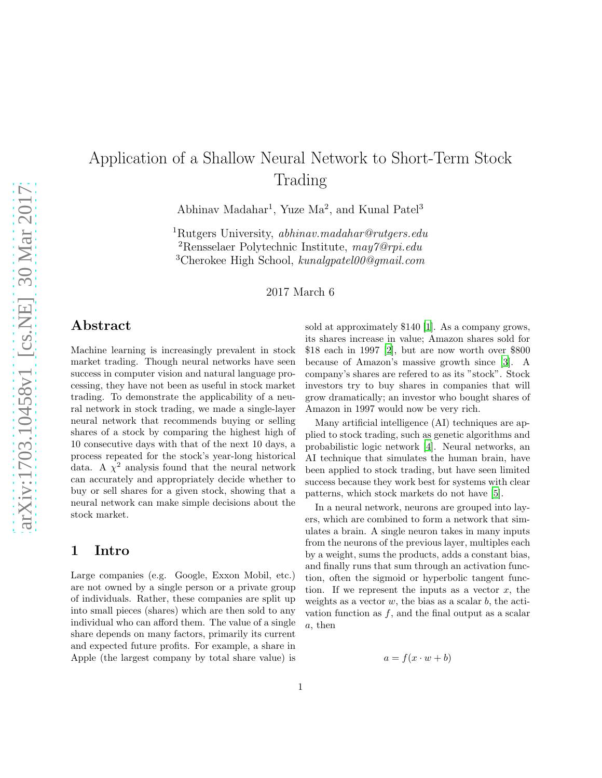# Application of a Shallow Neural Network to Short-Term Stock Trading

Abhinav Madahar<sup>1</sup>, Yuze Ma<sup>2</sup>, and Kunal Patel<sup>3</sup>

<sup>1</sup>Rutgers University, abhinav.madahar@rutgers.edu <sup>2</sup>Rensselaer Polytechnic Institute,  $may\gamma\omega_{rpi.edu}$ <sup>3</sup>Cherokee High School, kunalgpatel00@gmail.com

2017 March 6

# Abstract

Machine learning is increasingly prevalent in stock market trading. Though neural networks have seen success in computer vision and natural language processing, they have not been as useful in stock market trading. To demonstrate the applicability of a neural network in stock trading, we made a single-layer neural network that recommends buying or selling shares of a stock by comparing the highest high of 10 consecutive days with that of the next 10 days, a process repeated for the stock's year-long historical data. A  $\chi^2$  analysis found that the neural network can accurately and appropriately decide whether to buy or sell shares for a given stock, showing that a neural network can make simple decisions about the stock market.

# 1 Intro

Large companies (e.g. Google, Exxon Mobil, etc.) are not owned by a single person or a private group of individuals. Rather, these companies are split up into small pieces (shares) which are then sold to any individual who can afford them. The value of a single share depends on many factors, primarily its current and expected future profits. For example, a share in Apple (the largest company by total share value) is sold at approximately \$140 [\[1](#page-2-0)]. As a company grows, its shares increase in value; Amazon shares sold for \$18 each in 1997 [\[2](#page-2-1)], but are now worth over \$800 because of Amazon's massive growth since [\[3\]](#page-2-2). A company's shares are refered to as its "stock". Stock investors try to buy shares in companies that will grow dramatically; an investor who bought shares of Amazon in 1997 would now be very rich.

Many artificial intelligence (AI) techniques are applied to stock trading, such as genetic algorithms and probabilistic logic network [\[4](#page-2-3)]. Neural networks, an AI technique that simulates the human brain, have been applied to stock trading, but have seen limited success because they work best for systems with clear patterns, which stock markets do not have [\[5\]](#page-3-0).

In a neural network, neurons are grouped into layers, which are combined to form a network that simulates a brain. A single neuron takes in many inputs from the neurons of the previous layer, multiples each by a weight, sums the products, adds a constant bias, and finally runs that sum through an activation function, often the sigmoid or hyperbolic tangent function. If we represent the inputs as a vector  $x$ , the weights as a vector  $w$ , the bias as a scalar  $b$ , the activation function as  $f$ , and the final output as a scalar a, then

$$
a = f(x \cdot w + b)
$$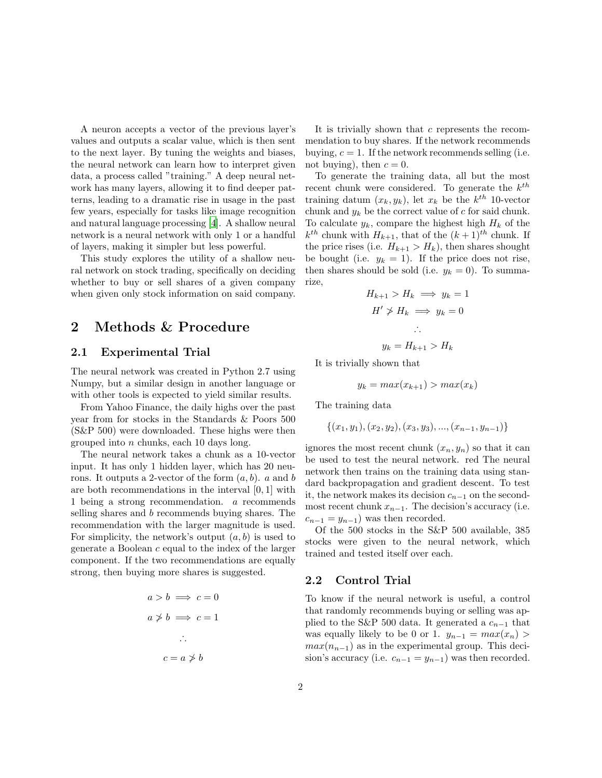A neuron accepts a vector of the previous layer's values and outputs a scalar value, which is then sent to the next layer. By tuning the weights and biases, the neural network can learn how to interpret given data, a process called "training." A deep neural network has many layers, allowing it to find deeper patterns, leading to a dramatic rise in usage in the past few years, especially for tasks like image recognition and natural language processing [\[4\]](#page-2-3). A shallow neural network is a neural network with only 1 or a handful of layers, making it simpler but less powerful.

This study explores the utility of a shallow neural network on stock trading, specifically on deciding whether to buy or sell shares of a given company when given only stock information on said company.

### 2 Methods & Procedure

#### 2.1 Experimental Trial

The neural network was created in Python 2.7 using Numpy, but a similar design in another language or with other tools is expected to yield similar results.

From Yahoo Finance, the daily highs over the past year from for stocks in the Standards & Poors 500 (S&P 500) were downloaded. These highs were then grouped into n chunks, each 10 days long.

The neural network takes a chunk as a 10-vector input. It has only 1 hidden layer, which has 20 neurons. It outputs a 2-vector of the form  $(a, b)$ . a and b are both recommendations in the interval [0, 1] with 1 being a strong recommendation. a recommends selling shares and b recommends buying shares. The recommendation with the larger magnitude is used. For simplicity, the network's output  $(a, b)$  is used to generate a Boolean c equal to the index of the larger component. If the two recommendations are equally strong, then buying more shares is suggested.

$$
a > b \implies c = 0
$$
  

$$
a \not\Rightarrow b \implies c = 1
$$
  

$$
\therefore
$$
  

$$
c = a \not\Rightarrow b
$$

It is trivially shown that  $c$  represents the recommendation to buy shares. If the network recommends buying,  $c = 1$ . If the network recommends selling (i.e. not buying), then  $c = 0$ .

To generate the training data, all but the most recent chunk were considered. To generate the  $k^{th}$ training datum  $(x_k, y_k)$ , let  $x_k$  be the  $k^{th}$  10-vector chunk and  $y_k$  be the correct value of  $c$  for said chunk. To calculate  $y_k$ , compare the highest high  $H_k$  of the  $k^{th}$  chunk with  $H_{k+1}$ , that of the  $(k+1)^{th}$  chunk. If the price rises (i.e.  $H_{k+1} > H_k$ ), then shares shought be bought (i.e.  $y_k = 1$ ). If the price does not rise, then shares should be sold (i.e.  $y_k = 0$ ). To summarize,

$$
H_{k+1} > H_k \implies y_k = 1
$$
  
\n
$$
H' \nsucc H_k \implies y_k = 0
$$
  
\n
$$
\therefore
$$
  
\n
$$
y_k = H_{k+1} > H_k
$$

It is trivially shown that

$$
y_k = \max(x_{k+1}) > \max(x_k)
$$

The training data

$$
\{(x_1, y_1), (x_2, y_2), (x_3, y_3), ..., (x_{n-1}, y_{n-1})\}
$$

ignores the most recent chunk  $(x_n, y_n)$  so that it can be used to test the neural network. red The neural network then trains on the training data using standard backpropagation and gradient descent. To test it, the network makes its decision  $c_{n-1}$  on the secondmost recent chunk  $x_{n-1}$ . The decision's accuracy (i.e.  $c_{n-1} = y_{n-1}$  was then recorded.

Of the 500 stocks in the S&P 500 available, 385 stocks were given to the neural network, which trained and tested itself over each.

#### 2.2 Control Trial

To know if the neural network is useful, a control that randomly recommends buying or selling was applied to the S&P 500 data. It generated a  $c_{n-1}$  that was equally likely to be 0 or 1.  $y_{n-1} = max(x_n)$  $max(n_{n-1})$  as in the experimental group. This decision's accuracy (i.e.  $c_{n-1} = y_{n-1}$ ) was then recorded.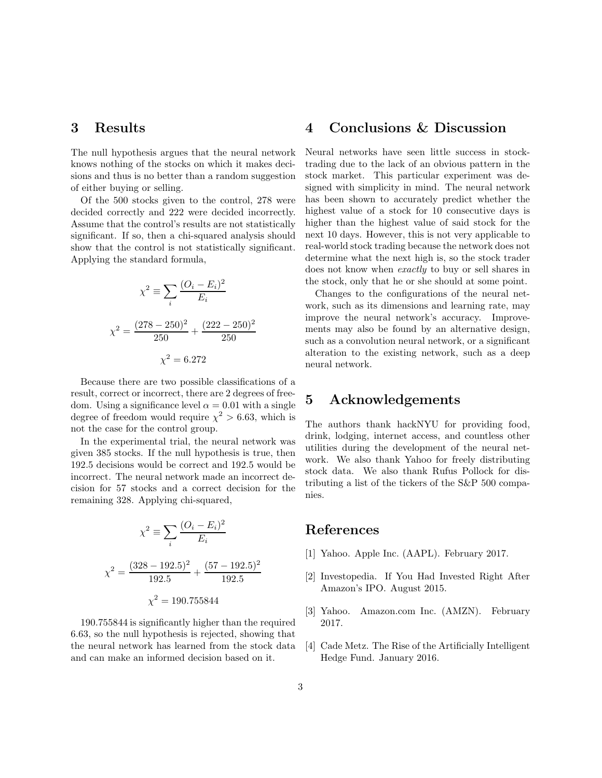# 3 Results

The null hypothesis argues that the neural network knows nothing of the stocks on which it makes decisions and thus is no better than a random suggestion of either buying or selling.

Of the 500 stocks given to the control, 278 were decided correctly and 222 were decided incorrectly. Assume that the control's results are not statistically significant. If so, then a chi-squared analysis should show that the control is not statistically significant. Applying the standard formula,

$$
\chi^2 \equiv \sum_i \frac{(O_i - E_i)^2}{E_i}
$$

$$
\chi^2 = \frac{(278 - 250)^2}{250} + \frac{(222 - 250)^2}{250}
$$

$$
\chi^2 = 6.272
$$

Because there are two possible classifications of a result, correct or incorrect, there are 2 degrees of freedom. Using a significance level  $\alpha = 0.01$  with a single degree of freedom would require  $\chi^2 > 6.63$ , which is not the case for the control group.

In the experimental trial, the neural network was given 385 stocks. If the null hypothesis is true, then 192.5 decisions would be correct and 192.5 would be incorrect. The neural network made an incorrect decision for 57 stocks and a correct decision for the remaining 328. Applying chi-squared,

$$
\chi^2 \equiv \sum_i \frac{(O_i - E_i)^2}{E_i}
$$

$$
\chi^2 = \frac{(328 - 192.5)^2}{192.5} + \frac{(57 - 192.5)^2}{192.5}
$$

$$
\chi^2 = 190.755844
$$

190.755844 is significantly higher than the required 6.63, so the null hypothesis is rejected, showing that the neural network has learned from the stock data and can make an informed decision based on it.

## 4 Conclusions & Discussion

Neural networks have seen little success in stocktrading due to the lack of an obvious pattern in the stock market. This particular experiment was designed with simplicity in mind. The neural network has been shown to accurately predict whether the highest value of a stock for 10 consecutive days is higher than the highest value of said stock for the next 10 days. However, this is not very applicable to real-world stock trading because the network does not determine what the next high is, so the stock trader does not know when exactly to buy or sell shares in the stock, only that he or she should at some point.

Changes to the configurations of the neural network, such as its dimensions and learning rate, may improve the neural network's accuracy. Improvements may also be found by an alternative design, such as a convolution neural network, or a significant alteration to the existing network, such as a deep neural network.

# 5 Acknowledgements

The authors thank hackNYU for providing food, drink, lodging, internet access, and countless other utilities during the development of the neural network. We also thank Yahoo for freely distributing stock data. We also thank Rufus Pollock for distributing a list of the tickers of the S&P 500 companies.

# References

- <span id="page-2-0"></span>[1] Yahoo. Apple Inc. (AAPL). February 2017.
- <span id="page-2-1"></span>[2] Investopedia. If You Had Invested Right After Amazon's IPO. August 2015.
- <span id="page-2-2"></span>[3] Yahoo. Amazon.com Inc. (AMZN). February 2017.
- <span id="page-2-3"></span>[4] Cade Metz. The Rise of the Artificially Intelligent Hedge Fund. January 2016.